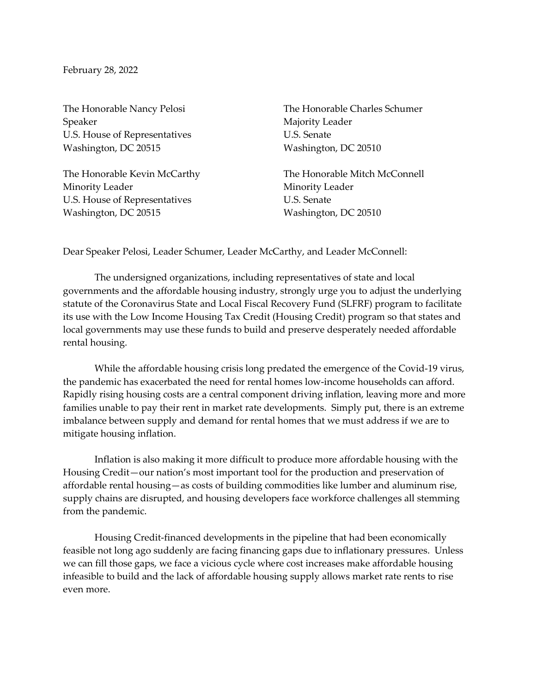February 28, 2022

Speaker Majority Leader U.S. House of Representatives U.S. Senate Washington, DC 20515 Washington, DC 20510

Minority Leader **Minority** Leader U.S. House of Representatives U.S. Senate Washington, DC 20515 Washington, DC 20510

The Honorable Nancy Pelosi The Honorable Charles Schumer

The Honorable Kevin McCarthy The Honorable Mitch McConnell

Dear Speaker Pelosi, Leader Schumer, Leader McCarthy, and Leader McConnell:

The undersigned organizations, including representatives of state and local governments and the affordable housing industry, strongly urge you to adjust the underlying statute of the Coronavirus State and Local Fiscal Recovery Fund (SLFRF) program to facilitate its use with the Low Income Housing Tax Credit (Housing Credit) program so that states and local governments may use these funds to build and preserve desperately needed affordable rental housing.

While the affordable housing crisis long predated the emergence of the Covid-19 virus, the pandemic has exacerbated the need for rental homes low-income households can afford. Rapidly rising housing costs are a central component driving inflation, leaving more and more families unable to pay their rent in market rate developments. Simply put, there is an extreme imbalance between supply and demand for rental homes that we must address if we are to mitigate housing inflation.

Inflation is also making it more difficult to produce more affordable housing with the Housing Credit—our nation's most important tool for the production and preservation of affordable rental housing—as costs of building commodities like lumber and aluminum rise, supply chains are disrupted, and housing developers face workforce challenges all stemming from the pandemic.

Housing Credit-financed developments in the pipeline that had been economically feasible not long ago suddenly are facing financing gaps due to inflationary pressures. Unless we can fill those gaps, we face a vicious cycle where cost increases make affordable housing infeasible to build and the lack of affordable housing supply allows market rate rents to rise even more.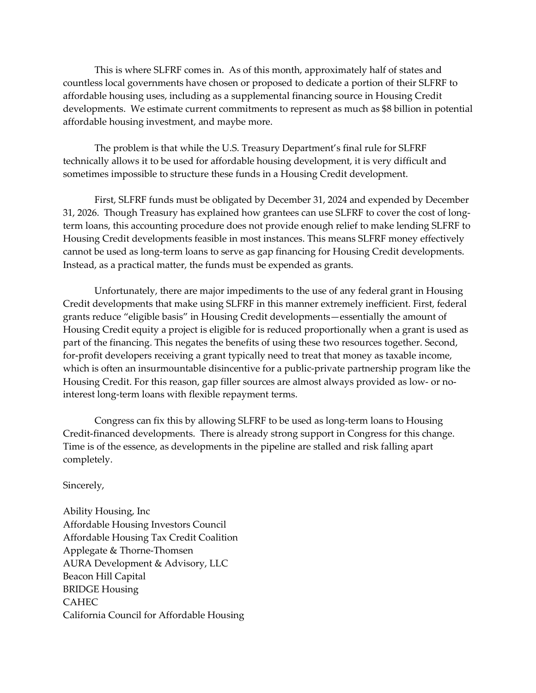This is where SLFRF comes in. As of this month, approximately half of states and countless local governments have chosen or proposed to dedicate a portion of their SLFRF to affordable housing uses, including as a supplemental financing source in Housing Credit developments. We estimate current commitments to represent as much as \$8 billion in potential affordable housing investment, and maybe more.

The problem is that while the U.S. Treasury Department's final rule for SLFRF technically allows it to be used for affordable housing development, it is very difficult and sometimes impossible to structure these funds in a Housing Credit development.

First, SLFRF funds must be obligated by December 31, 2024 and expended by December 31, 2026. Though Treasury has explained how grantees can use SLFRF to cover the cost of longterm loans, this accounting procedure does not provide enough relief to make lending SLFRF to Housing Credit developments feasible in most instances. This means SLFRF money effectively cannot be used as long-term loans to serve as gap financing for Housing Credit developments. Instead, as a practical matter, the funds must be expended as grants.

Unfortunately, there are major impediments to the use of any federal grant in Housing Credit developments that make using SLFRF in this manner extremely inefficient. First, federal grants reduce "eligible basis" in Housing Credit developments—essentially the amount of Housing Credit equity a project is eligible for is reduced proportionally when a grant is used as part of the financing. This negates the benefits of using these two resources together. Second, for-profit developers receiving a grant typically need to treat that money as taxable income, which is often an insurmountable disincentive for a public-private partnership program like the Housing Credit. For this reason, gap filler sources are almost always provided as low- or nointerest long-term loans with flexible repayment terms.

Congress can fix this by allowing SLFRF to be used as long-term loans to Housing Credit-financed developments. There is already strong support in Congress for this change. Time is of the essence, as developments in the pipeline are stalled and risk falling apart completely.

Sincerely,

Ability Housing, Inc Affordable Housing Investors Council Affordable Housing Tax Credit Coalition Applegate & Thorne-Thomsen AURA Development & Advisory, LLC Beacon Hill Capital BRIDGE Housing CAHEC California Council for Affordable Housing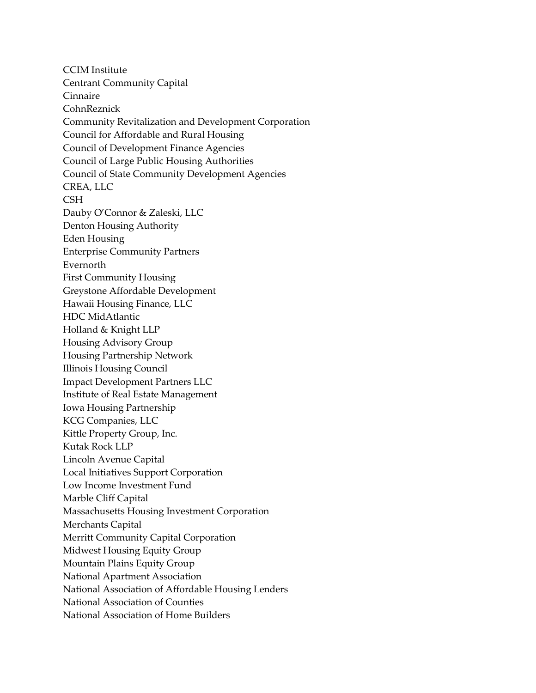CCIM Institute Centrant Community Capital Cinnaire CohnReznick Community Revitalization and Development Corporation Council for Affordable and Rural Housing Council of Development Finance Agencies Council of Large Public Housing Authorities Council of State Community Development Agencies CREA, LLC **CSH** Dauby O'Connor & Zaleski, LLC Denton Housing Authority Eden Housing Enterprise Community Partners Evernorth First Community Housing Greystone Affordable Development Hawaii Housing Finance, LLC HDC MidAtlantic Holland & Knight LLP Housing Advisory Group Housing Partnership Network Illinois Housing Council Impact Development Partners LLC Institute of Real Estate Management Iowa Housing Partnership KCG Companies, LLC Kittle Property Group, Inc. Kutak Rock LLP Lincoln Avenue Capital Local Initiatives Support Corporation Low Income Investment Fund Marble Cliff Capital Massachusetts Housing Investment Corporation Merchants Capital Merritt Community Capital Corporation Midwest Housing Equity Group Mountain Plains Equity Group National Apartment Association National Association of Affordable Housing Lenders National Association of Counties National Association of Home Builders